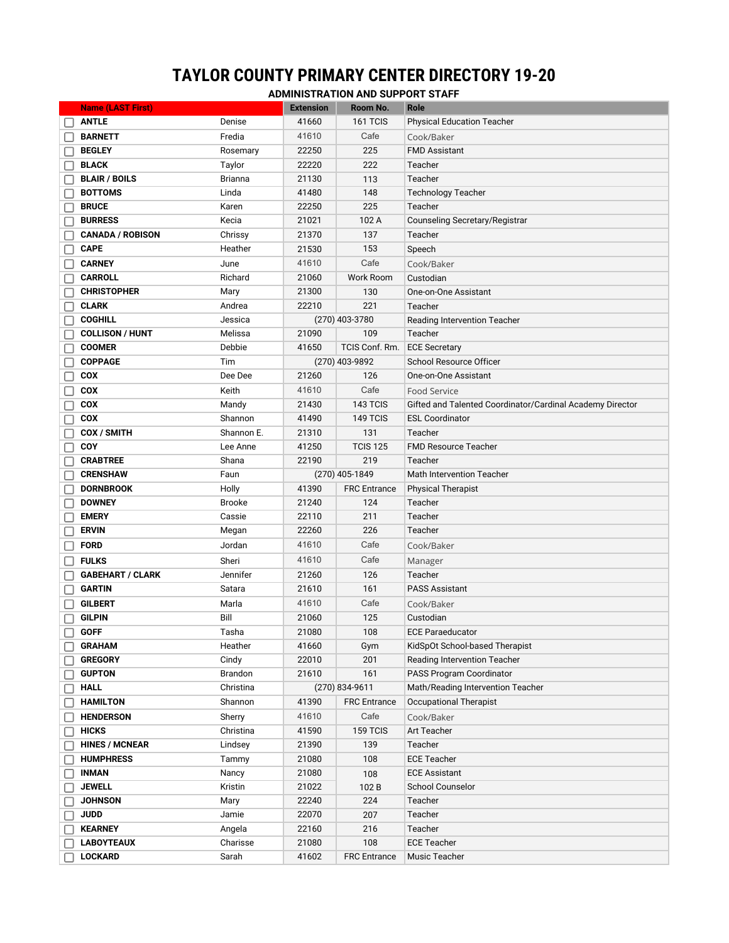## **TAYLOR COUNTY PRIMARY CENTER DIRECTORY 19-20**

**ADMINISTRATION AND SUPPORT STAFF**

| <b>Name (LAST First)</b> |                | <b>Extension</b> | Room No.            | Role                                                      |
|--------------------------|----------------|------------------|---------------------|-----------------------------------------------------------|
| <b>ANTLE</b>             | Denise         | 41660            | 161 TCIS            | <b>Physical Education Teacher</b>                         |
| <b>BARNETT</b>           | Fredia         | 41610            | Cafe                | Cook/Baker                                                |
| <b>BEGLEY</b>            | Rosemary       | 22250            | 225                 | <b>FMD Assistant</b>                                      |
| <b>BLACK</b>             | Taylor         | 22220            | 222                 | Teacher                                                   |
| <b>BLAIR / BOILS</b>     | <b>Brianna</b> | 21130            | 113                 | Teacher                                                   |
| <b>BOTTOMS</b>           | Linda          | 41480            | 148                 | <b>Technology Teacher</b>                                 |
| <b>BRUCE</b>             | Karen          | 22250            | 225                 | Teacher                                                   |
| <b>BURRESS</b>           | Kecia          | 21021            | 102 A               | Counseling Secretary/Registrar                            |
| <b>CANADA / ROBISON</b>  | Chrissy        | 21370            | 137                 | Teacher                                                   |
| <b>CAPE</b>              | Heather        | 21530            | 153                 | Speech                                                    |
| <b>CARNEY</b>            | June           | 41610            | Cafe                | Cook/Baker                                                |
| <b>CARROLL</b>           | Richard        | 21060            | Work Room           | Custodian                                                 |
| <b>CHRISTOPHER</b>       | Mary           | 21300            | 130                 | One-on-One Assistant                                      |
| <b>CLARK</b>             | Andrea         | 22210            | 221                 | Teacher                                                   |
| <b>COGHILL</b>           | Jessica        |                  | (270) 403-3780      | Reading Intervention Teacher                              |
| <b>COLLISON / HUNT</b>   | Melissa        | 21090            | 109                 | Teacher                                                   |
| <b>COOMER</b>            | Debbie         | 41650            | TCIS Conf. Rm.      | <b>ECE Secretary</b>                                      |
| <b>COPPAGE</b>           | Tim            | (270) 403-9892   |                     | School Resource Officer                                   |
| <b>COX</b>               | Dee Dee        | 21260            | 126                 | One-on-One Assistant                                      |
| <b>COX</b>               | Keith          | 41610            | Cafe                | Food Service                                              |
| <b>COX</b>               | Mandy          | 21430            | 143 TCIS            | Gifted and Talented Coordinator/Cardinal Academy Director |
| <b>COX</b>               | Shannon        | 41490            | 149 TCIS            | <b>ESL Coordinator</b>                                    |
| COX / SMITH              | Shannon E.     | 21310            | 131                 | Teacher                                                   |
| <b>COY</b>               | Lee Anne       | 41250            | <b>TCIS 125</b>     | <b>FMD Resource Teacher</b>                               |
| <b>CRABTREE</b>          | Shana          | 22190            | 219                 | Teacher                                                   |
| <b>CRENSHAW</b>          | Faun           |                  | (270) 405-1849      | <b>Math Intervention Teacher</b>                          |
| <b>DORNBROOK</b>         | Holly          | 41390            | <b>FRC</b> Entrance | <b>Physical Therapist</b>                                 |
| <b>DOWNEY</b>            | <b>Brooke</b>  | 21240            | 124                 | Teacher                                                   |
| <b>EMERY</b>             | Cassie         | 22110            | 211                 | Teacher                                                   |
| <b>ERVIN</b>             | Megan          | 22260            | 226                 | Teacher                                                   |
|                          |                | 41610            | Cafe                |                                                           |
| <b>FORD</b>              | Jordan         |                  |                     | Cook/Baker                                                |
| <b>FULKS</b>             | Sheri          | 41610            | Cafe                | Manager                                                   |
| <b>GABEHART / CLARK</b>  | Jennifer       | 21260            | 126                 | Teacher                                                   |
| <b>GARTIN</b>            | Satara         | 21610            | 161                 | <b>PASS Assistant</b>                                     |
| <b>GILBERT</b>           | Marla          | 41610            | Cafe                | Cook/Baker                                                |
| <b>GILPIN</b>            | Bill           | 21060            | 125                 | Custodian                                                 |
| <b>GOFF</b>              | Tasha          | 21080            | 108                 | <b>ECE Paraeducator</b>                                   |
| <b>GRAHAM</b>            | Heather        | 41660            | Gym                 | KidSpOt School-based Therapist                            |
| <b>GREGORY</b>           | Cindy          | 22010            | 201                 | <b>Reading Intervention Teacher</b>                       |
| <b>GUPTON</b>            | Brandon        | 21610            | 161                 | PASS Program Coordinator                                  |
| <b>HALL</b>              | Christina      |                  | (270) 834-9611      | Math/Reading Intervention Teacher                         |
| <b>HAMILTON</b>          | Shannon        | 41390            | <b>FRC</b> Entrance | Occupational Therapist                                    |
| <b>HENDERSON</b>         | Sherry         | 41610            | Cafe                | Cook/Baker                                                |
| <b>HICKS</b>             | Christina      | 41590            | 159 TCIS            | Art Teacher                                               |
| <b>HINES / MCNEAR</b>    | Lindsey        | 21390            | 139                 | Teacher                                                   |
| <b>HUMPHRESS</b>         | Tammy          | 21080            | 108                 | <b>ECE Teacher</b>                                        |
| <b>INMAN</b>             | Nancy          | 21080            | 108                 | <b>ECE Assistant</b>                                      |
| <b>JEWELL</b>            | Kristin        | 21022            | 102B                | <b>School Counselor</b>                                   |
| <b>JOHNSON</b>           | Mary           | 22240            | 224                 | Teacher                                                   |
| <b>JUDD</b>              | Jamie          | 22070            | 207                 | Teacher                                                   |
| <b>KEARNEY</b>           | Angela         | 22160            | 216                 | Teacher                                                   |
| <b>LABOYTEAUX</b>        | Charisse       | 21080            | 108                 | <b>ECE Teacher</b>                                        |
| <b>LOCKARD</b>           | Sarah          | 41602            | <b>FRC</b> Entrance | Music Teacher                                             |